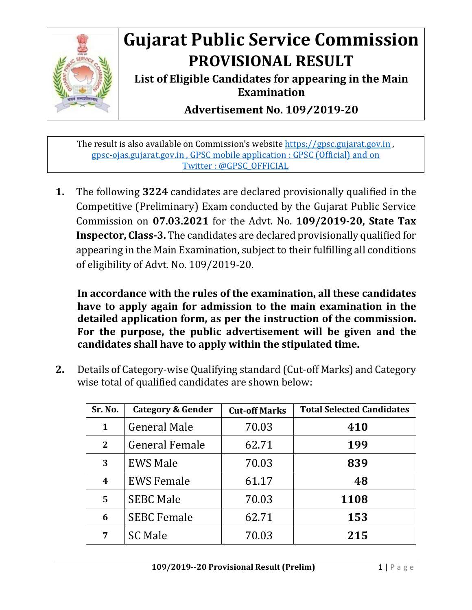

## **Gujarat Public Service Commission PROVISIONAL RESULT**

**List of Eligible Candidates for appearing in the Main Examination**

**Advertisement No. 109**/**2019-20**

The result is also available on Commission's website [https://gpsc.gujarat.gov.in](https://gpsc.gujarat.gov.in/), gpsc-ojas.gujarat.gov.in , GPSC mobile application : GPSC (Official) and on Twitter : @GPSC\_OFFICIAL

**1.** The following **3224** candidates are declared provisionally qualified in the Competitive (Preliminary) Exam conducted by the Gujarat Public Service Commission on **07.03.2021** for the Advt. No. **109/2019-20, State Tax Inspector, Class-3.** The candidates are declared provisionally qualified for appearing in the Main Examination, subject to their fulfilling all conditions of eligibility of Advt. No. 109/2019-20.

**In accordance with the rules of the examination, all these candidates have to apply again for admission to the main examination in the detailed application form, as per the instruction of the commission. For the purpose, the public advertisement will be given and the candidates shall have to apply within the stipulated time.**

**2.** Details of Category-wise Qualifying standard (Cut-off Marks) and Category wise total of qualified candidates are shown below:

| Sr. No.      | <b>Category &amp; Gender</b> | <b>Cut-off Marks</b> | <b>Total Selected Candidates</b> |
|--------------|------------------------------|----------------------|----------------------------------|
| $\mathbf{1}$ | <b>General Male</b>          | 70.03                | 410                              |
| $\mathbf{2}$ | <b>General Female</b>        | 62.71                | 199                              |
| 3            | <b>EWS Male</b>              | 70.03                | 839                              |
| 4            | <b>EWS Female</b>            | 61.17                | 48                               |
| 5            | <b>SEBC Male</b>             | 70.03                | 1108                             |
| 6            | <b>SEBC Female</b>           | 62.71                | 153                              |
| 7            | <b>SC Male</b>               | 70.03                | 215                              |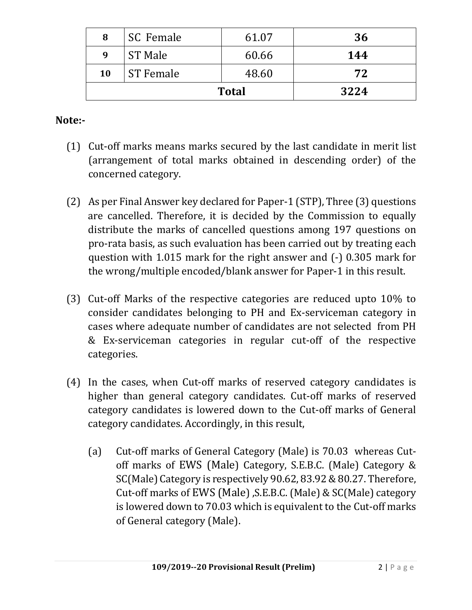| 8            | SC Female        | 61.07 | 36  |
|--------------|------------------|-------|-----|
| 9            | <b>ST Male</b>   | 60.66 | 144 |
| 10           | <b>ST Female</b> | 48.60 | 72  |
| <b>Total</b> |                  | 3224  |     |

## **Note:-**

- (1) Cut-off marks means marks secured by the last candidate in merit list (arrangement of total marks obtained in descending order) of the concerned category.
- (2) As per Final Answer key declared for Paper-1 (STP), Three (3) questions are cancelled. Therefore, it is decided by the Commission to equally distribute the marks of cancelled questions among 197 questions on pro-rata basis, as such evaluation has been carried out by treating each question with 1.015 mark for the right answer and (-) 0.305 mark for the wrong/multiple encoded/blank answer for Paper-1 in this result.
- (3) Cut-off Marks of the respective categories are reduced upto 10% to consider candidates belonging to PH and Ex-serviceman category in cases where adequate number of candidates are not selected from PH & Ex-serviceman categories in regular cut-off of the respective categories.
- (4) In the cases, when Cut-off marks of reserved category candidates is higher than general category candidates. Cut-off marks of reserved category candidates is lowered down to the Cut-off marks of General category candidates. Accordingly, in this result,
	- (a) Cut-off marks of General Category (Male) is 70.03 whereas Cutoff marks of EWS (Male) Category, S.E.B.C. (Male) Category & SC(Male) Category is respectively 90.62, 83.92 & 80.27. Therefore, Cut-off marks of EWS (Male) ,S.E.B.C. (Male) & SC(Male) category is lowered down to 70.03 which is equivalent to the Cut-off marks of General category (Male).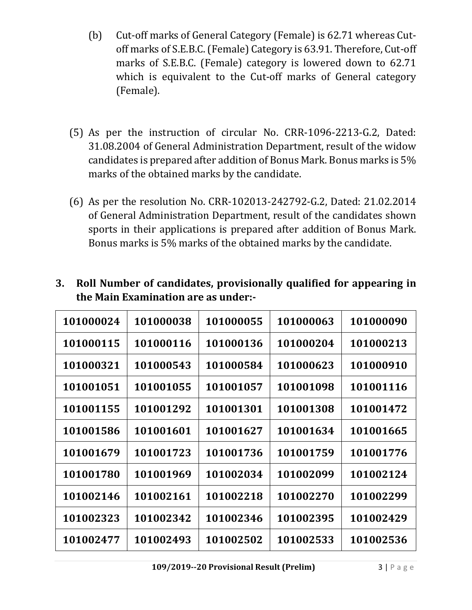- (b) Cut-off marks of General Category (Female) is 62.71 whereas Cutoff marks of S.E.B.C. (Female) Category is 63.91. Therefore, Cut-off marks of S.E.B.C. (Female) category is lowered down to 62.71 which is equivalent to the Cut-off marks of General category (Female).
- (5) As per the instruction of circular No. CRR-1096-2213-G.2, Dated: 31.08.2004 of General Administration Department, result of the widow candidates is prepared after addition of Bonus Mark. Bonus marks is 5% marks of the obtained marks by the candidate.
- (6) As per the resolution No. CRR-102013-242792-G.2, Dated: 21.02.2014 of General Administration Department, result of the candidates shown sports in their applications is prepared after addition of Bonus Mark. Bonus marks is 5% marks of the obtained marks by the candidate.

| 101000024 | 101000038 | 101000055 | 101000063 | 101000090 |
|-----------|-----------|-----------|-----------|-----------|
| 101000115 | 101000116 | 101000136 | 101000204 | 101000213 |
| 101000321 | 101000543 | 101000584 | 101000623 | 101000910 |
| 101001051 | 101001055 | 101001057 | 101001098 | 101001116 |
| 101001155 | 101001292 | 101001301 | 101001308 | 101001472 |
| 101001586 | 101001601 | 101001627 | 101001634 | 101001665 |
| 101001679 | 101001723 | 101001736 | 101001759 | 101001776 |
| 101001780 | 101001969 | 101002034 | 101002099 | 101002124 |
| 101002146 | 101002161 | 101002218 | 101002270 | 101002299 |
| 101002323 | 101002342 | 101002346 | 101002395 | 101002429 |
| 101002477 | 101002493 | 101002502 | 101002533 | 101002536 |

**3. Roll Number of candidates, provisionally qualified for appearing in the Main Examination are as under:-**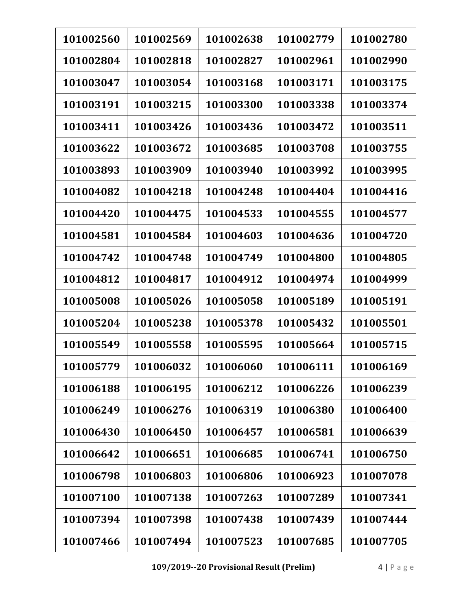| 101002560 | 101002569 | 101002638 | 101002779 | 101002780 |
|-----------|-----------|-----------|-----------|-----------|
| 101002804 | 101002818 | 101002827 | 101002961 | 101002990 |
| 101003047 | 101003054 | 101003168 | 101003171 | 101003175 |
| 101003191 | 101003215 | 101003300 | 101003338 | 101003374 |
| 101003411 | 101003426 | 101003436 | 101003472 | 101003511 |
| 101003622 | 101003672 | 101003685 | 101003708 | 101003755 |
| 101003893 | 101003909 | 101003940 | 101003992 | 101003995 |
| 101004082 | 101004218 | 101004248 | 101004404 | 101004416 |
| 101004420 | 101004475 | 101004533 | 101004555 | 101004577 |
| 101004581 | 101004584 | 101004603 | 101004636 | 101004720 |
| 101004742 | 101004748 | 101004749 | 101004800 | 101004805 |
| 101004812 | 101004817 | 101004912 | 101004974 | 101004999 |
| 101005008 | 101005026 | 101005058 | 101005189 | 101005191 |
| 101005204 | 101005238 | 101005378 | 101005432 | 101005501 |
| 101005549 | 101005558 | 101005595 | 101005664 | 101005715 |
| 101005779 | 101006032 | 101006060 | 101006111 | 101006169 |
| 101006188 | 101006195 | 101006212 | 101006226 | 101006239 |
| 101006249 | 101006276 | 101006319 | 101006380 | 101006400 |
| 101006430 | 101006450 | 101006457 | 101006581 | 101006639 |
| 101006642 | 101006651 | 101006685 | 101006741 | 101006750 |
| 101006798 | 101006803 | 101006806 | 101006923 | 101007078 |
| 101007100 | 101007138 | 101007263 | 101007289 | 101007341 |
| 101007394 | 101007398 | 101007438 | 101007439 | 101007444 |
| 101007466 | 101007494 | 101007523 | 101007685 | 101007705 |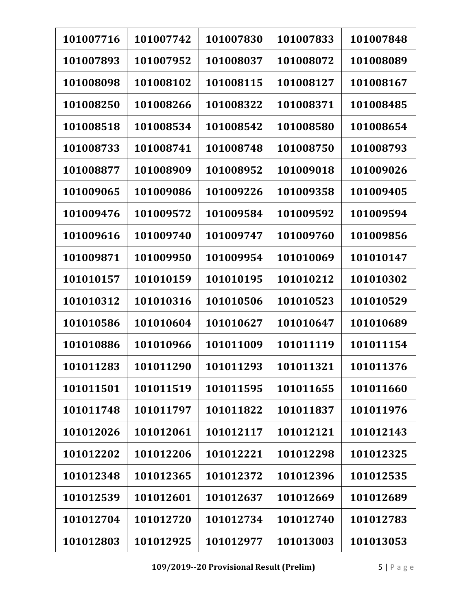| 101007716 | 101007742 | 101007830 | 101007833 | 101007848 |
|-----------|-----------|-----------|-----------|-----------|
| 101007893 | 101007952 | 101008037 | 101008072 | 101008089 |
| 101008098 | 101008102 | 101008115 | 101008127 | 101008167 |
| 101008250 | 101008266 | 101008322 | 101008371 | 101008485 |
| 101008518 | 101008534 | 101008542 | 101008580 | 101008654 |
| 101008733 | 101008741 | 101008748 | 101008750 | 101008793 |
| 101008877 | 101008909 | 101008952 | 101009018 | 101009026 |
| 101009065 | 101009086 | 101009226 | 101009358 | 101009405 |
| 101009476 | 101009572 | 101009584 | 101009592 | 101009594 |
| 101009616 | 101009740 | 101009747 | 101009760 | 101009856 |
| 101009871 | 101009950 | 101009954 | 101010069 | 101010147 |
| 101010157 | 101010159 | 101010195 | 101010212 | 101010302 |
| 101010312 | 101010316 | 101010506 | 101010523 | 101010529 |
| 101010586 | 101010604 | 101010627 | 101010647 | 101010689 |
| 101010886 | 101010966 | 101011009 | 101011119 | 101011154 |
| 101011283 | 101011290 | 101011293 | 101011321 | 101011376 |
| 101011501 | 101011519 | 101011595 | 101011655 | 101011660 |
| 101011748 | 101011797 | 101011822 | 101011837 | 101011976 |
| 101012026 | 101012061 | 101012117 | 101012121 | 101012143 |
| 101012202 | 101012206 | 101012221 | 101012298 | 101012325 |
| 101012348 | 101012365 | 101012372 | 101012396 | 101012535 |
| 101012539 | 101012601 | 101012637 | 101012669 | 101012689 |
| 101012704 | 101012720 | 101012734 | 101012740 | 101012783 |
| 101012803 | 101012925 | 101012977 | 101013003 | 101013053 |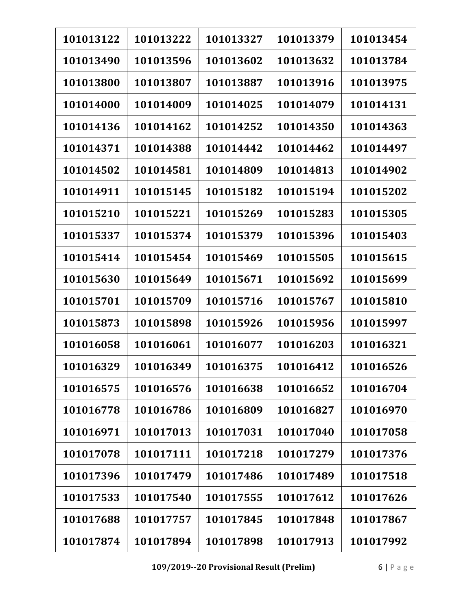| 101013122 | 101013222 | 101013327 | 101013379 | 101013454 |
|-----------|-----------|-----------|-----------|-----------|
| 101013490 | 101013596 | 101013602 | 101013632 | 101013784 |
| 101013800 | 101013807 | 101013887 | 101013916 | 101013975 |
| 101014000 | 101014009 | 101014025 | 101014079 | 101014131 |
| 101014136 | 101014162 | 101014252 | 101014350 | 101014363 |
| 101014371 | 101014388 | 101014442 | 101014462 | 101014497 |
| 101014502 | 101014581 | 101014809 | 101014813 | 101014902 |
| 101014911 | 101015145 | 101015182 | 101015194 | 101015202 |
| 101015210 | 101015221 | 101015269 | 101015283 | 101015305 |
| 101015337 | 101015374 | 101015379 | 101015396 | 101015403 |
| 101015414 | 101015454 | 101015469 | 101015505 | 101015615 |
| 101015630 | 101015649 | 101015671 | 101015692 | 101015699 |
| 101015701 | 101015709 | 101015716 | 101015767 | 101015810 |
| 101015873 | 101015898 | 101015926 | 101015956 | 101015997 |
| 101016058 | 101016061 | 101016077 | 101016203 | 101016321 |
| 101016329 | 101016349 | 101016375 | 101016412 | 101016526 |
| 101016575 | 101016576 | 101016638 | 101016652 | 101016704 |
| 101016778 | 101016786 | 101016809 | 101016827 | 101016970 |
| 101016971 | 101017013 | 101017031 | 101017040 | 101017058 |
| 101017078 | 101017111 | 101017218 | 101017279 | 101017376 |
| 101017396 | 101017479 | 101017486 | 101017489 | 101017518 |
| 101017533 | 101017540 | 101017555 | 101017612 | 101017626 |
| 101017688 | 101017757 | 101017845 | 101017848 | 101017867 |
| 101017874 | 101017894 | 101017898 | 101017913 | 101017992 |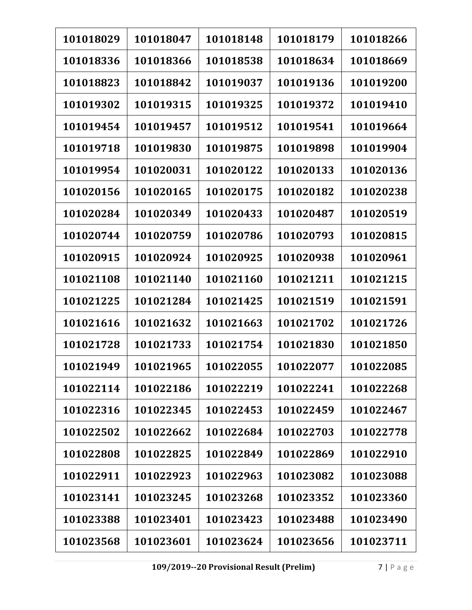| 101018029 | 101018047 | 101018148 | 101018179 | 101018266 |
|-----------|-----------|-----------|-----------|-----------|
| 101018336 | 101018366 | 101018538 | 101018634 | 101018669 |
| 101018823 | 101018842 | 101019037 | 101019136 | 101019200 |
| 101019302 | 101019315 | 101019325 | 101019372 | 101019410 |
| 101019454 | 101019457 | 101019512 | 101019541 | 101019664 |
| 101019718 | 101019830 | 101019875 | 101019898 | 101019904 |
| 101019954 | 101020031 | 101020122 | 101020133 | 101020136 |
| 101020156 | 101020165 | 101020175 | 101020182 | 101020238 |
| 101020284 | 101020349 | 101020433 | 101020487 | 101020519 |
| 101020744 | 101020759 | 101020786 | 101020793 | 101020815 |
| 101020915 | 101020924 | 101020925 | 101020938 | 101020961 |
| 101021108 | 101021140 | 101021160 | 101021211 | 101021215 |
| 101021225 | 101021284 | 101021425 | 101021519 | 101021591 |
| 101021616 | 101021632 | 101021663 | 101021702 | 101021726 |
| 101021728 | 101021733 | 101021754 | 101021830 | 101021850 |
| 101021949 | 101021965 | 101022055 | 101022077 | 101022085 |
| 101022114 | 101022186 | 101022219 | 101022241 | 101022268 |
| 101022316 | 101022345 | 101022453 | 101022459 | 101022467 |
| 101022502 | 101022662 | 101022684 | 101022703 | 101022778 |
| 101022808 | 101022825 | 101022849 | 101022869 | 101022910 |
| 101022911 | 101022923 | 101022963 | 101023082 | 101023088 |
| 101023141 | 101023245 | 101023268 | 101023352 | 101023360 |
| 101023388 | 101023401 | 101023423 | 101023488 | 101023490 |
| 101023568 | 101023601 | 101023624 | 101023656 | 101023711 |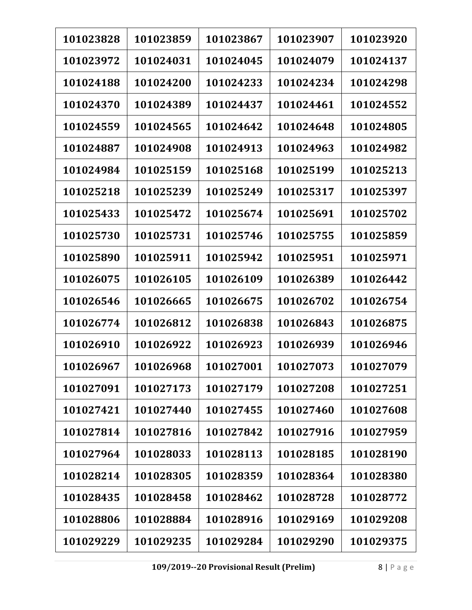| 101023828 | 101023859 | 101023867 | 101023907 | 101023920 |
|-----------|-----------|-----------|-----------|-----------|
| 101023972 | 101024031 | 101024045 | 101024079 | 101024137 |
| 101024188 | 101024200 | 101024233 | 101024234 | 101024298 |
| 101024370 | 101024389 | 101024437 | 101024461 | 101024552 |
| 101024559 | 101024565 | 101024642 | 101024648 | 101024805 |
| 101024887 | 101024908 | 101024913 | 101024963 | 101024982 |
| 101024984 | 101025159 | 101025168 | 101025199 | 101025213 |
| 101025218 | 101025239 | 101025249 | 101025317 | 101025397 |
| 101025433 | 101025472 | 101025674 | 101025691 | 101025702 |
| 101025730 | 101025731 | 101025746 | 101025755 | 101025859 |
| 101025890 | 101025911 | 101025942 | 101025951 | 101025971 |
| 101026075 | 101026105 | 101026109 | 101026389 | 101026442 |
| 101026546 | 101026665 | 101026675 | 101026702 | 101026754 |
| 101026774 | 101026812 | 101026838 | 101026843 | 101026875 |
| 101026910 | 101026922 | 101026923 | 101026939 | 101026946 |
| 101026967 | 101026968 | 101027001 | 101027073 | 101027079 |
| 101027091 | 101027173 | 101027179 | 101027208 | 101027251 |
| 101027421 | 101027440 | 101027455 | 101027460 | 101027608 |
| 101027814 | 101027816 | 101027842 | 101027916 | 101027959 |
| 101027964 | 101028033 | 101028113 | 101028185 | 101028190 |
| 101028214 | 101028305 | 101028359 | 101028364 | 101028380 |
| 101028435 | 101028458 | 101028462 | 101028728 | 101028772 |
| 101028806 | 101028884 | 101028916 | 101029169 | 101029208 |
| 101029229 | 101029235 | 101029284 | 101029290 | 101029375 |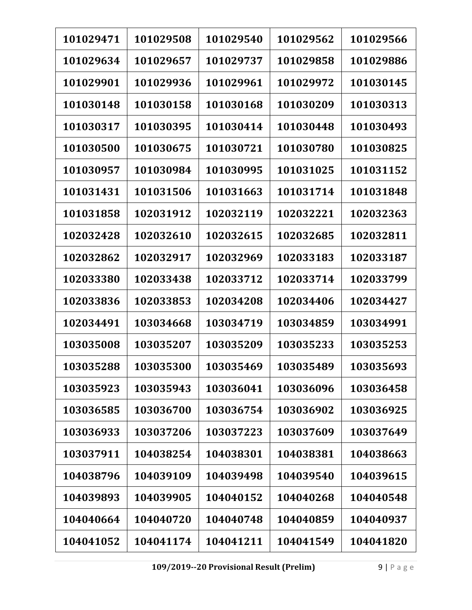| 101029471 | 101029508 | 101029540 | 101029562 | 101029566 |
|-----------|-----------|-----------|-----------|-----------|
| 101029634 | 101029657 | 101029737 | 101029858 | 101029886 |
| 101029901 | 101029936 | 101029961 | 101029972 | 101030145 |
| 101030148 | 101030158 | 101030168 | 101030209 | 101030313 |
| 101030317 | 101030395 | 101030414 | 101030448 | 101030493 |
| 101030500 | 101030675 | 101030721 | 101030780 | 101030825 |
| 101030957 | 101030984 | 101030995 | 101031025 | 101031152 |
| 101031431 | 101031506 | 101031663 | 101031714 | 101031848 |
| 101031858 | 102031912 | 102032119 | 102032221 | 102032363 |
| 102032428 | 102032610 | 102032615 | 102032685 | 102032811 |
| 102032862 | 102032917 | 102032969 | 102033183 | 102033187 |
| 102033380 | 102033438 | 102033712 | 102033714 | 102033799 |
| 102033836 | 102033853 | 102034208 | 102034406 | 102034427 |
| 102034491 | 103034668 | 103034719 | 103034859 | 103034991 |
| 103035008 | 103035207 | 103035209 | 103035233 | 103035253 |
| 103035288 | 103035300 | 103035469 | 103035489 | 103035693 |
| 103035923 | 103035943 | 103036041 | 103036096 | 103036458 |
| 103036585 | 103036700 | 103036754 | 103036902 | 103036925 |
| 103036933 | 103037206 | 103037223 | 103037609 | 103037649 |
| 103037911 | 104038254 | 104038301 | 104038381 | 104038663 |
| 104038796 | 104039109 | 104039498 | 104039540 | 104039615 |
| 104039893 | 104039905 | 104040152 | 104040268 | 104040548 |
| 104040664 | 104040720 | 104040748 | 104040859 | 104040937 |
| 104041052 | 104041174 | 104041211 | 104041549 | 104041820 |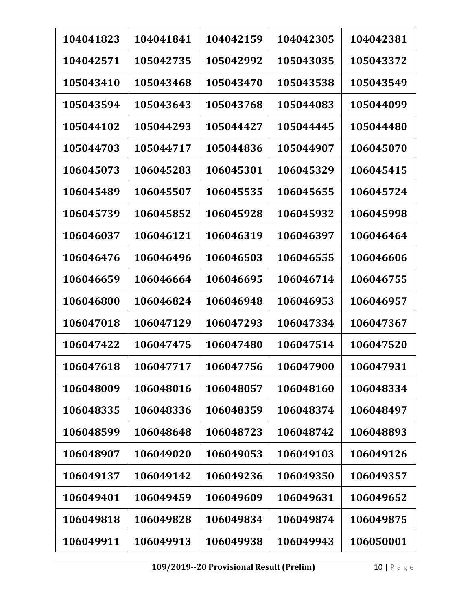| 104041823 | 104041841 | 104042159 | 104042305 | 104042381 |
|-----------|-----------|-----------|-----------|-----------|
| 104042571 | 105042735 | 105042992 | 105043035 | 105043372 |
| 105043410 | 105043468 | 105043470 | 105043538 | 105043549 |
| 105043594 | 105043643 | 105043768 | 105044083 | 105044099 |
| 105044102 | 105044293 | 105044427 | 105044445 | 105044480 |
| 105044703 | 105044717 | 105044836 | 105044907 | 106045070 |
| 106045073 | 106045283 | 106045301 | 106045329 | 106045415 |
| 106045489 | 106045507 | 106045535 | 106045655 | 106045724 |
| 106045739 | 106045852 | 106045928 | 106045932 | 106045998 |
| 106046037 | 106046121 | 106046319 | 106046397 | 106046464 |
| 106046476 | 106046496 | 106046503 | 106046555 | 106046606 |
| 106046659 | 106046664 | 106046695 | 106046714 | 106046755 |
| 106046800 | 106046824 | 106046948 | 106046953 | 106046957 |
| 106047018 | 106047129 | 106047293 | 106047334 | 106047367 |
| 106047422 | 106047475 | 106047480 | 106047514 | 106047520 |
| 106047618 | 106047717 | 106047756 | 106047900 | 106047931 |
| 106048009 | 106048016 | 106048057 | 106048160 | 106048334 |
| 106048335 | 106048336 | 106048359 | 106048374 | 106048497 |
| 106048599 | 106048648 | 106048723 | 106048742 | 106048893 |
| 106048907 | 106049020 | 106049053 | 106049103 | 106049126 |
| 106049137 | 106049142 | 106049236 | 106049350 | 106049357 |
| 106049401 | 106049459 | 106049609 | 106049631 | 106049652 |
| 106049818 | 106049828 | 106049834 | 106049874 | 106049875 |
| 106049911 | 106049913 | 106049938 | 106049943 | 106050001 |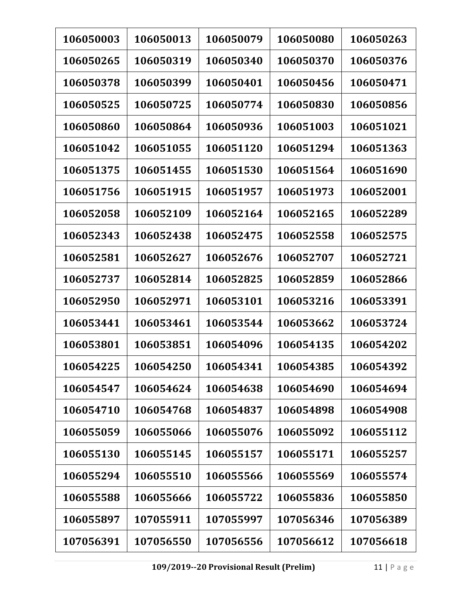| 106050003 | 106050013 | 106050079 | 106050080 | 106050263 |
|-----------|-----------|-----------|-----------|-----------|
| 106050265 | 106050319 | 106050340 | 106050370 | 106050376 |
| 106050378 | 106050399 | 106050401 | 106050456 | 106050471 |
| 106050525 | 106050725 | 106050774 | 106050830 | 106050856 |
| 106050860 | 106050864 | 106050936 | 106051003 | 106051021 |
| 106051042 | 106051055 | 106051120 | 106051294 | 106051363 |
| 106051375 | 106051455 | 106051530 | 106051564 | 106051690 |
| 106051756 | 106051915 | 106051957 | 106051973 | 106052001 |
| 106052058 | 106052109 | 106052164 | 106052165 | 106052289 |
| 106052343 | 106052438 | 106052475 | 106052558 | 106052575 |
| 106052581 | 106052627 | 106052676 | 106052707 | 106052721 |
| 106052737 | 106052814 | 106052825 | 106052859 | 106052866 |
| 106052950 | 106052971 | 106053101 | 106053216 | 106053391 |
| 106053441 | 106053461 | 106053544 | 106053662 | 106053724 |
| 106053801 | 106053851 | 106054096 | 106054135 | 106054202 |
| 106054225 | 106054250 | 106054341 | 106054385 | 106054392 |
| 106054547 | 106054624 | 106054638 | 106054690 | 106054694 |
| 106054710 | 106054768 | 106054837 | 106054898 | 106054908 |
| 106055059 | 106055066 | 106055076 | 106055092 | 106055112 |
| 106055130 | 106055145 | 106055157 | 106055171 | 106055257 |
| 106055294 | 106055510 | 106055566 | 106055569 | 106055574 |
| 106055588 | 106055666 | 106055722 | 106055836 | 106055850 |
| 106055897 | 107055911 | 107055997 | 107056346 | 107056389 |
| 107056391 | 107056550 | 107056556 | 107056612 | 107056618 |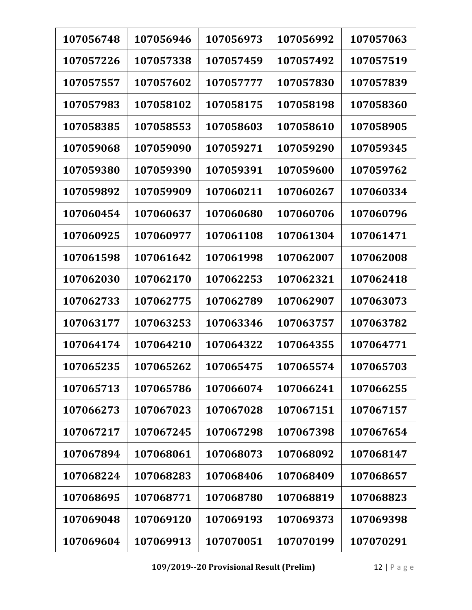| 107056748 | 107056946 | 107056973 | 107056992 | 107057063 |
|-----------|-----------|-----------|-----------|-----------|
| 107057226 | 107057338 | 107057459 | 107057492 | 107057519 |
| 107057557 | 107057602 | 107057777 | 107057830 | 107057839 |
| 107057983 | 107058102 | 107058175 | 107058198 | 107058360 |
| 107058385 | 107058553 | 107058603 | 107058610 | 107058905 |
| 107059068 | 107059090 | 107059271 | 107059290 | 107059345 |
| 107059380 | 107059390 | 107059391 | 107059600 | 107059762 |
| 107059892 | 107059909 | 107060211 | 107060267 | 107060334 |
| 107060454 | 107060637 | 107060680 | 107060706 | 107060796 |
| 107060925 | 107060977 | 107061108 | 107061304 | 107061471 |
| 107061598 | 107061642 | 107061998 | 107062007 | 107062008 |
| 107062030 | 107062170 | 107062253 | 107062321 | 107062418 |
| 107062733 | 107062775 | 107062789 | 107062907 | 107063073 |
| 107063177 | 107063253 | 107063346 | 107063757 | 107063782 |
| 107064174 | 107064210 | 107064322 | 107064355 | 107064771 |
| 107065235 | 107065262 | 107065475 | 107065574 | 107065703 |
| 107065713 | 107065786 | 107066074 | 107066241 | 107066255 |
| 107066273 | 107067023 | 107067028 | 107067151 | 107067157 |
| 107067217 | 107067245 | 107067298 | 107067398 | 107067654 |
| 107067894 | 107068061 | 107068073 | 107068092 | 107068147 |
| 107068224 | 107068283 | 107068406 | 107068409 | 107068657 |
| 107068695 | 107068771 | 107068780 | 107068819 | 107068823 |
| 107069048 | 107069120 | 107069193 | 107069373 | 107069398 |
| 107069604 | 107069913 | 107070051 | 107070199 | 107070291 |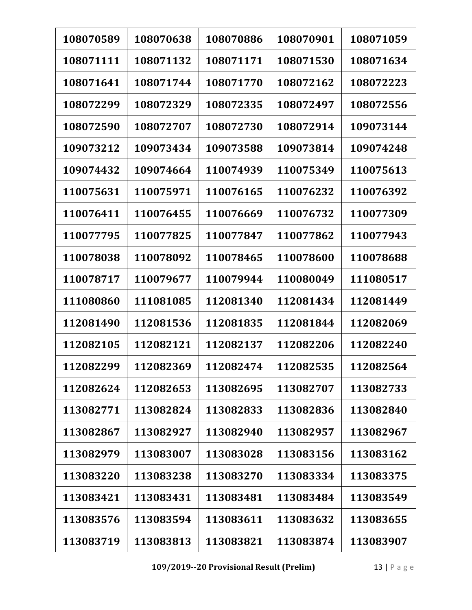| 108070589 | 108070638 | 108070886 | 108070901 | 108071059 |
|-----------|-----------|-----------|-----------|-----------|
| 108071111 | 108071132 | 108071171 | 108071530 | 108071634 |
| 108071641 | 108071744 | 108071770 | 108072162 | 108072223 |
| 108072299 | 108072329 | 108072335 | 108072497 | 108072556 |
| 108072590 | 108072707 | 108072730 | 108072914 | 109073144 |
| 109073212 | 109073434 | 109073588 | 109073814 | 109074248 |
| 109074432 | 109074664 | 110074939 | 110075349 | 110075613 |
| 110075631 | 110075971 | 110076165 | 110076232 | 110076392 |
| 110076411 | 110076455 | 110076669 | 110076732 | 110077309 |
| 110077795 | 110077825 | 110077847 | 110077862 | 110077943 |
| 110078038 | 110078092 | 110078465 | 110078600 | 110078688 |
| 110078717 | 110079677 | 110079944 | 110080049 | 111080517 |
| 111080860 | 111081085 | 112081340 | 112081434 | 112081449 |
| 112081490 | 112081536 | 112081835 | 112081844 | 112082069 |
| 112082105 | 112082121 | 112082137 | 112082206 | 112082240 |
| 112082299 | 112082369 | 112082474 | 112082535 | 112082564 |
| 112082624 | 112082653 | 113082695 | 113082707 | 113082733 |
| 113082771 | 113082824 | 113082833 | 113082836 | 113082840 |
| 113082867 | 113082927 | 113082940 | 113082957 | 113082967 |
| 113082979 | 113083007 | 113083028 | 113083156 | 113083162 |
| 113083220 | 113083238 | 113083270 | 113083334 | 113083375 |
| 113083421 | 113083431 | 113083481 | 113083484 | 113083549 |
| 113083576 | 113083594 | 113083611 | 113083632 | 113083655 |
| 113083719 | 113083813 | 113083821 | 113083874 | 113083907 |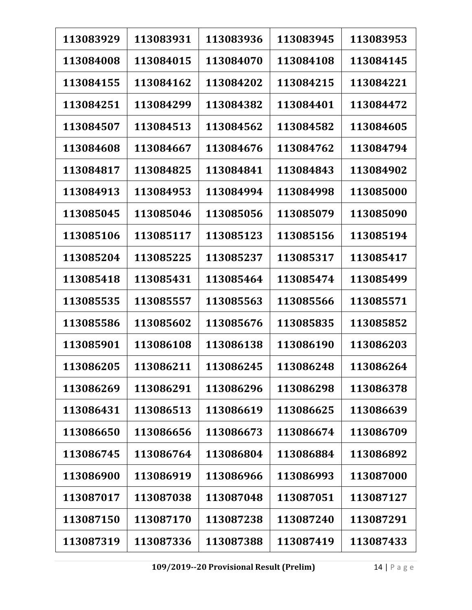| 113083929 | 113083931 | 113083936 | 113083945 | 113083953 |
|-----------|-----------|-----------|-----------|-----------|
| 113084008 | 113084015 | 113084070 | 113084108 | 113084145 |
| 113084155 | 113084162 | 113084202 | 113084215 | 113084221 |
| 113084251 | 113084299 | 113084382 | 113084401 | 113084472 |
| 113084507 | 113084513 | 113084562 | 113084582 | 113084605 |
| 113084608 | 113084667 | 113084676 | 113084762 | 113084794 |
| 113084817 | 113084825 | 113084841 | 113084843 | 113084902 |
| 113084913 | 113084953 | 113084994 | 113084998 | 113085000 |
| 113085045 | 113085046 | 113085056 | 113085079 | 113085090 |
| 113085106 | 113085117 | 113085123 | 113085156 | 113085194 |
| 113085204 | 113085225 | 113085237 | 113085317 | 113085417 |
| 113085418 | 113085431 | 113085464 | 113085474 | 113085499 |
| 113085535 | 113085557 | 113085563 | 113085566 | 113085571 |
| 113085586 | 113085602 | 113085676 | 113085835 | 113085852 |
| 113085901 | 113086108 | 113086138 | 113086190 | 113086203 |
| 113086205 | 113086211 | 113086245 | 113086248 | 113086264 |
| 113086269 | 113086291 | 113086296 | 113086298 | 113086378 |
| 113086431 | 113086513 | 113086619 | 113086625 | 113086639 |
| 113086650 | 113086656 | 113086673 | 113086674 | 113086709 |
| 113086745 | 113086764 | 113086804 | 113086884 | 113086892 |
| 113086900 | 113086919 | 113086966 | 113086993 | 113087000 |
| 113087017 | 113087038 | 113087048 | 113087051 | 113087127 |
| 113087150 | 113087170 | 113087238 | 113087240 | 113087291 |
| 113087319 | 113087336 | 113087388 | 113087419 | 113087433 |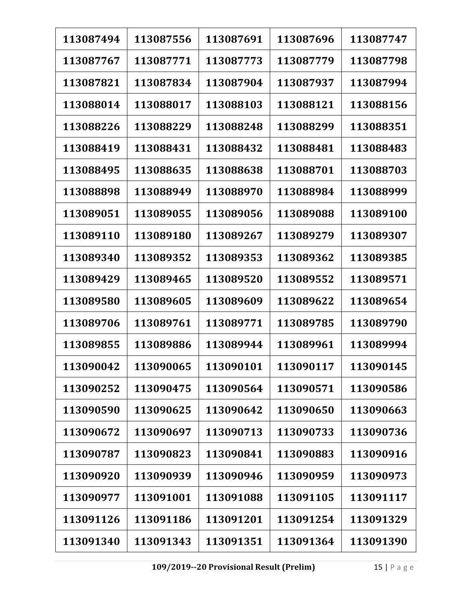| 113087494 | 113087556 | 113087691 | 113087696 | 113087747 |
|-----------|-----------|-----------|-----------|-----------|
| 113087767 | 113087771 | 113087773 | 113087779 | 113087798 |
| 113087821 | 113087834 | 113087904 | 113087937 | 113087994 |
| 113088014 | 113088017 | 113088103 | 113088121 | 113088156 |
| 113088226 | 113088229 | 113088248 | 113088299 | 113088351 |
| 113088419 | 113088431 | 113088432 | 113088481 | 113088483 |
| 113088495 | 113088635 | 113088638 | 113088701 | 113088703 |
| 113088898 | 113088949 | 113088970 | 113088984 | 113088999 |
| 113089051 | 113089055 | 113089056 | 113089088 | 113089100 |
| 113089110 | 113089180 | 113089267 | 113089279 | 113089307 |
| 113089340 | 113089352 | 113089353 | 113089362 | 113089385 |
| 113089429 | 113089465 | 113089520 | 113089552 | 113089571 |
| 113089580 | 113089605 | 113089609 | 113089622 | 113089654 |
| 113089706 | 113089761 | 113089771 | 113089785 | 113089790 |
| 113089855 | 113089886 | 113089944 | 113089961 | 113089994 |
| 113090042 | 113090065 | 113090101 | 113090117 | 113090145 |
| 113090252 | 113090475 | 113090564 | 113090571 | 113090586 |
| 113090590 | 113090625 | 113090642 | 113090650 | 113090663 |
| 113090672 | 113090697 | 113090713 | 113090733 | 113090736 |
| 113090787 | 113090823 | 113090841 | 113090883 | 113090916 |
| 113090920 | 113090939 | 113090946 | 113090959 | 113090973 |
| 113090977 | 113091001 | 113091088 | 113091105 | 113091117 |
| 113091126 | 113091186 | 113091201 | 113091254 | 113091329 |
| 113091340 | 113091343 | 113091351 | 113091364 | 113091390 |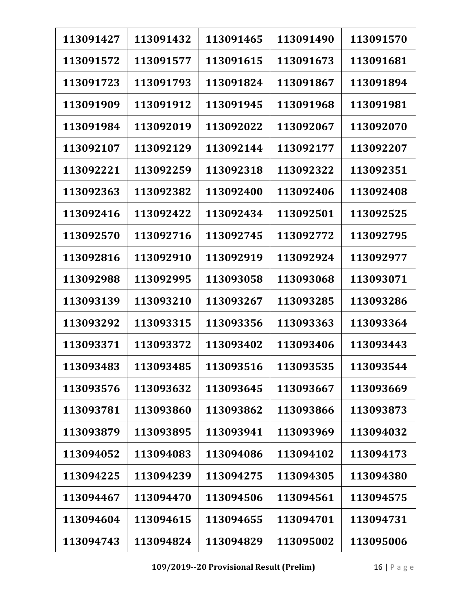| 113091427 | 113091432 | 113091465 | 113091490 | 113091570 |
|-----------|-----------|-----------|-----------|-----------|
| 113091572 | 113091577 | 113091615 | 113091673 | 113091681 |
| 113091723 | 113091793 | 113091824 | 113091867 | 113091894 |
| 113091909 | 113091912 | 113091945 | 113091968 | 113091981 |
| 113091984 | 113092019 | 113092022 | 113092067 | 113092070 |
| 113092107 | 113092129 | 113092144 | 113092177 | 113092207 |
| 113092221 | 113092259 | 113092318 | 113092322 | 113092351 |
| 113092363 | 113092382 | 113092400 | 113092406 | 113092408 |
| 113092416 | 113092422 | 113092434 | 113092501 | 113092525 |
| 113092570 | 113092716 | 113092745 | 113092772 | 113092795 |
| 113092816 | 113092910 | 113092919 | 113092924 | 113092977 |
| 113092988 | 113092995 | 113093058 | 113093068 | 113093071 |
| 113093139 | 113093210 | 113093267 | 113093285 | 113093286 |
| 113093292 | 113093315 | 113093356 | 113093363 | 113093364 |
| 113093371 | 113093372 | 113093402 | 113093406 | 113093443 |
| 113093483 | 113093485 | 113093516 | 113093535 | 113093544 |
| 113093576 | 113093632 | 113093645 | 113093667 | 113093669 |
| 113093781 | 113093860 | 113093862 | 113093866 | 113093873 |
| 113093879 | 113093895 | 113093941 | 113093969 | 113094032 |
| 113094052 | 113094083 | 113094086 | 113094102 | 113094173 |
| 113094225 | 113094239 | 113094275 | 113094305 | 113094380 |
| 113094467 | 113094470 | 113094506 | 113094561 | 113094575 |
| 113094604 | 113094615 | 113094655 | 113094701 | 113094731 |
| 113094743 | 113094824 | 113094829 | 113095002 | 113095006 |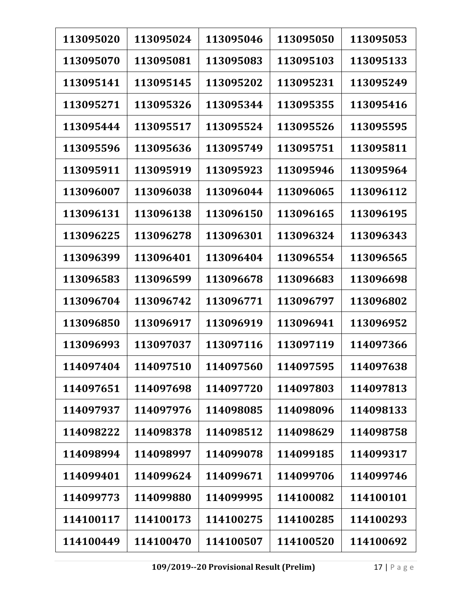| 113095020 | 113095024 | 113095046 | 113095050 | 113095053 |
|-----------|-----------|-----------|-----------|-----------|
| 113095070 | 113095081 | 113095083 | 113095103 | 113095133 |
| 113095141 | 113095145 | 113095202 | 113095231 | 113095249 |
| 113095271 | 113095326 | 113095344 | 113095355 | 113095416 |
| 113095444 | 113095517 | 113095524 | 113095526 | 113095595 |
| 113095596 | 113095636 | 113095749 | 113095751 | 113095811 |
| 113095911 | 113095919 | 113095923 | 113095946 | 113095964 |
| 113096007 | 113096038 | 113096044 | 113096065 | 113096112 |
| 113096131 | 113096138 | 113096150 | 113096165 | 113096195 |
| 113096225 | 113096278 | 113096301 | 113096324 | 113096343 |
| 113096399 | 113096401 | 113096404 | 113096554 | 113096565 |
| 113096583 | 113096599 | 113096678 | 113096683 | 113096698 |
| 113096704 | 113096742 | 113096771 | 113096797 | 113096802 |
| 113096850 | 113096917 | 113096919 | 113096941 | 113096952 |
| 113096993 | 113097037 | 113097116 | 113097119 | 114097366 |
| 114097404 | 114097510 | 114097560 | 114097595 | 114097638 |
| 114097651 | 114097698 | 114097720 | 114097803 | 114097813 |
| 114097937 | 114097976 | 114098085 | 114098096 | 114098133 |
| 114098222 | 114098378 | 114098512 | 114098629 | 114098758 |
| 114098994 | 114098997 | 114099078 | 114099185 | 114099317 |
| 114099401 | 114099624 | 114099671 | 114099706 | 114099746 |
| 114099773 | 114099880 | 114099995 | 114100082 | 114100101 |
| 114100117 | 114100173 | 114100275 | 114100285 | 114100293 |
| 114100449 | 114100470 | 114100507 | 114100520 | 114100692 |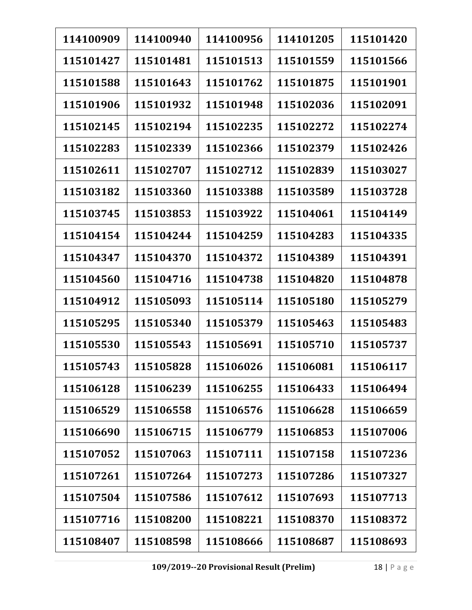| 114100909 | 114100940 | 114100956 | 114101205 | 115101420 |
|-----------|-----------|-----------|-----------|-----------|
| 115101427 | 115101481 | 115101513 | 115101559 | 115101566 |
| 115101588 | 115101643 | 115101762 | 115101875 | 115101901 |
| 115101906 | 115101932 | 115101948 | 115102036 | 115102091 |
| 115102145 | 115102194 | 115102235 | 115102272 | 115102274 |
| 115102283 | 115102339 | 115102366 | 115102379 | 115102426 |
| 115102611 | 115102707 | 115102712 | 115102839 | 115103027 |
| 115103182 | 115103360 | 115103388 | 115103589 | 115103728 |
| 115103745 | 115103853 | 115103922 | 115104061 | 115104149 |
| 115104154 | 115104244 | 115104259 | 115104283 | 115104335 |
| 115104347 | 115104370 | 115104372 | 115104389 | 115104391 |
| 115104560 | 115104716 | 115104738 | 115104820 | 115104878 |
| 115104912 | 115105093 | 115105114 | 115105180 | 115105279 |
| 115105295 | 115105340 | 115105379 | 115105463 | 115105483 |
| 115105530 | 115105543 | 115105691 | 115105710 | 115105737 |
| 115105743 | 115105828 | 115106026 | 115106081 | 115106117 |
| 115106128 | 115106239 | 115106255 | 115106433 | 115106494 |
| 115106529 | 115106558 | 115106576 | 115106628 | 115106659 |
| 115106690 | 115106715 | 115106779 | 115106853 | 115107006 |
| 115107052 | 115107063 | 115107111 | 115107158 | 115107236 |
| 115107261 | 115107264 | 115107273 | 115107286 | 115107327 |
| 115107504 | 115107586 | 115107612 | 115107693 | 115107713 |
| 115107716 | 115108200 | 115108221 | 115108370 | 115108372 |
| 115108407 | 115108598 | 115108666 | 115108687 | 115108693 |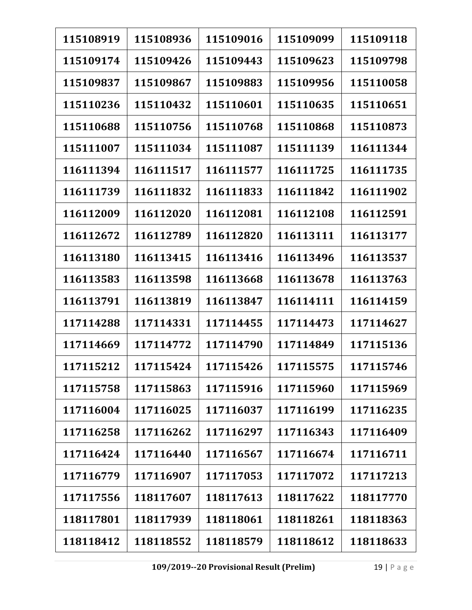| 115108919 | 115108936 | 115109016 | 115109099 | 115109118 |
|-----------|-----------|-----------|-----------|-----------|
| 115109174 | 115109426 | 115109443 | 115109623 | 115109798 |
| 115109837 | 115109867 | 115109883 | 115109956 | 115110058 |
| 115110236 | 115110432 | 115110601 | 115110635 | 115110651 |
| 115110688 | 115110756 | 115110768 | 115110868 | 115110873 |
| 115111007 | 115111034 | 115111087 | 115111139 | 116111344 |
| 116111394 | 116111517 | 116111577 | 116111725 | 116111735 |
| 116111739 | 116111832 | 116111833 | 116111842 | 116111902 |
| 116112009 | 116112020 | 116112081 | 116112108 | 116112591 |
| 116112672 | 116112789 | 116112820 | 116113111 | 116113177 |
| 116113180 | 116113415 | 116113416 | 116113496 | 116113537 |
| 116113583 | 116113598 | 116113668 | 116113678 | 116113763 |
| 116113791 | 116113819 | 116113847 | 116114111 | 116114159 |
| 117114288 | 117114331 | 117114455 | 117114473 | 117114627 |
| 117114669 | 117114772 | 117114790 | 117114849 | 117115136 |
| 117115212 | 117115424 | 117115426 | 117115575 | 117115746 |
| 117115758 | 117115863 | 117115916 | 117115960 | 117115969 |
| 117116004 | 117116025 | 117116037 | 117116199 | 117116235 |
| 117116258 | 117116262 | 117116297 | 117116343 | 117116409 |
| 117116424 | 117116440 | 117116567 | 117116674 | 117116711 |
| 117116779 | 117116907 | 117117053 | 117117072 | 117117213 |
| 117117556 | 118117607 | 118117613 | 118117622 | 118117770 |
| 118117801 | 118117939 | 118118061 | 118118261 | 118118363 |
| 118118412 | 118118552 | 118118579 | 118118612 | 118118633 |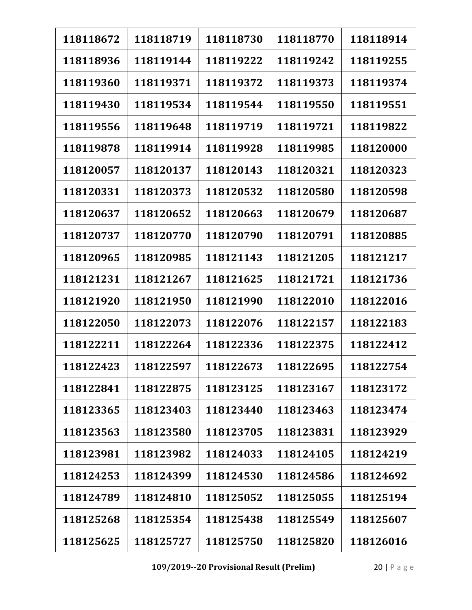| 118118672 | 118118719 | 118118730 | 118118770 | 118118914 |
|-----------|-----------|-----------|-----------|-----------|
| 118118936 | 118119144 | 118119222 | 118119242 | 118119255 |
| 118119360 | 118119371 | 118119372 | 118119373 | 118119374 |
| 118119430 | 118119534 | 118119544 | 118119550 | 118119551 |
| 118119556 | 118119648 | 118119719 | 118119721 | 118119822 |
| 118119878 | 118119914 | 118119928 | 118119985 | 118120000 |
| 118120057 | 118120137 | 118120143 | 118120321 | 118120323 |
| 118120331 | 118120373 | 118120532 | 118120580 | 118120598 |
| 118120637 | 118120652 | 118120663 | 118120679 | 118120687 |
| 118120737 | 118120770 | 118120790 | 118120791 | 118120885 |
| 118120965 | 118120985 | 118121143 | 118121205 | 118121217 |
| 118121231 | 118121267 | 118121625 | 118121721 | 118121736 |
| 118121920 | 118121950 | 118121990 | 118122010 | 118122016 |
| 118122050 | 118122073 | 118122076 | 118122157 | 118122183 |
| 118122211 | 118122264 | 118122336 | 118122375 | 118122412 |
| 118122423 | 118122597 | 118122673 | 118122695 | 118122754 |
| 118122841 | 118122875 | 118123125 | 118123167 | 118123172 |
| 118123365 | 118123403 | 118123440 | 118123463 | 118123474 |
| 118123563 | 118123580 | 118123705 | 118123831 | 118123929 |
| 118123981 | 118123982 | 118124033 | 118124105 | 118124219 |
| 118124253 | 118124399 | 118124530 | 118124586 | 118124692 |
| 118124789 | 118124810 | 118125052 | 118125055 | 118125194 |
| 118125268 | 118125354 | 118125438 | 118125549 | 118125607 |
| 118125625 | 118125727 | 118125750 | 118125820 | 118126016 |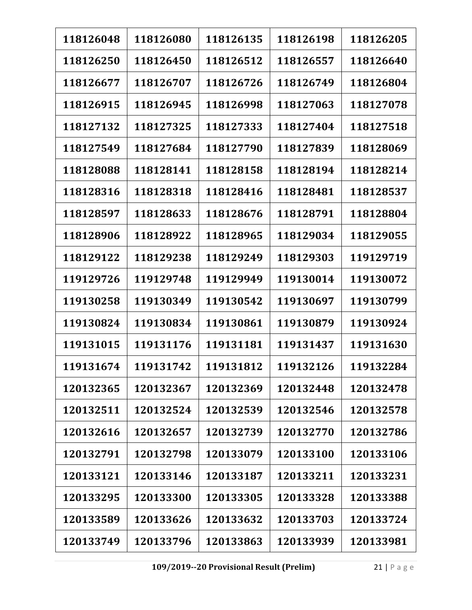| 118126048 | 118126080 | 118126135 | 118126198 | 118126205 |
|-----------|-----------|-----------|-----------|-----------|
| 118126250 | 118126450 | 118126512 | 118126557 | 118126640 |
| 118126677 | 118126707 | 118126726 | 118126749 | 118126804 |
| 118126915 | 118126945 | 118126998 | 118127063 | 118127078 |
| 118127132 | 118127325 | 118127333 | 118127404 | 118127518 |
| 118127549 | 118127684 | 118127790 | 118127839 | 118128069 |
| 118128088 | 118128141 | 118128158 | 118128194 | 118128214 |
| 118128316 | 118128318 | 118128416 | 118128481 | 118128537 |
| 118128597 | 118128633 | 118128676 | 118128791 | 118128804 |
| 118128906 | 118128922 | 118128965 | 118129034 | 118129055 |
| 118129122 | 118129238 | 118129249 | 118129303 | 119129719 |
| 119129726 | 119129748 | 119129949 | 119130014 | 119130072 |
| 119130258 | 119130349 | 119130542 | 119130697 | 119130799 |
| 119130824 | 119130834 | 119130861 | 119130879 | 119130924 |
| 119131015 | 119131176 | 119131181 | 119131437 | 119131630 |
| 119131674 | 119131742 | 119131812 | 119132126 | 119132284 |
| 120132365 | 120132367 | 120132369 | 120132448 | 120132478 |
| 120132511 | 120132524 | 120132539 | 120132546 | 120132578 |
| 120132616 | 120132657 | 120132739 | 120132770 | 120132786 |
| 120132791 | 120132798 | 120133079 | 120133100 | 120133106 |
| 120133121 | 120133146 | 120133187 | 120133211 | 120133231 |
| 120133295 | 120133300 | 120133305 | 120133328 | 120133388 |
| 120133589 | 120133626 | 120133632 | 120133703 | 120133724 |
| 120133749 | 120133796 | 120133863 | 120133939 | 120133981 |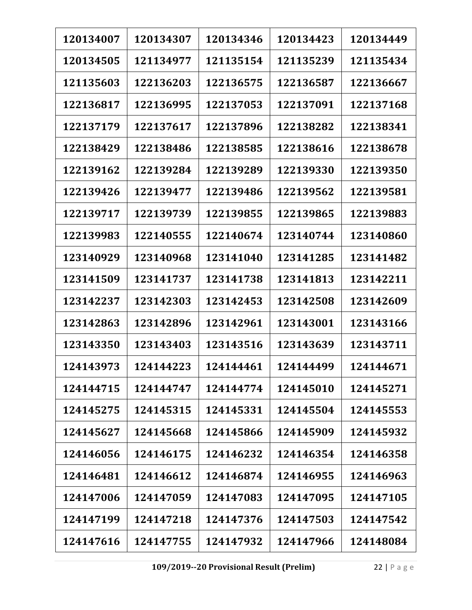| 120134007 | 120134307 | 120134346 | 120134423 | 120134449 |
|-----------|-----------|-----------|-----------|-----------|
| 120134505 | 121134977 | 121135154 | 121135239 | 121135434 |
| 121135603 | 122136203 | 122136575 | 122136587 | 122136667 |
| 122136817 | 122136995 | 122137053 | 122137091 | 122137168 |
| 122137179 | 122137617 | 122137896 | 122138282 | 122138341 |
| 122138429 | 122138486 | 122138585 | 122138616 | 122138678 |
| 122139162 | 122139284 | 122139289 | 122139330 | 122139350 |
| 122139426 | 122139477 | 122139486 | 122139562 | 122139581 |
| 122139717 | 122139739 | 122139855 | 122139865 | 122139883 |
| 122139983 | 122140555 | 122140674 | 123140744 | 123140860 |
| 123140929 | 123140968 | 123141040 | 123141285 | 123141482 |
| 123141509 | 123141737 | 123141738 | 123141813 | 123142211 |
| 123142237 | 123142303 | 123142453 | 123142508 | 123142609 |
| 123142863 | 123142896 | 123142961 | 123143001 | 123143166 |
| 123143350 | 123143403 | 123143516 | 123143639 | 123143711 |
| 124143973 | 124144223 | 124144461 | 124144499 | 124144671 |
| 124144715 | 124144747 | 124144774 | 124145010 | 124145271 |
| 124145275 | 124145315 | 124145331 | 124145504 | 124145553 |
| 124145627 | 124145668 | 124145866 | 124145909 | 124145932 |
| 124146056 | 124146175 | 124146232 | 124146354 | 124146358 |
| 124146481 | 124146612 | 124146874 | 124146955 | 124146963 |
| 124147006 | 124147059 | 124147083 | 124147095 | 124147105 |
| 124147199 | 124147218 | 124147376 | 124147503 | 124147542 |
| 124147616 | 124147755 | 124147932 | 124147966 | 124148084 |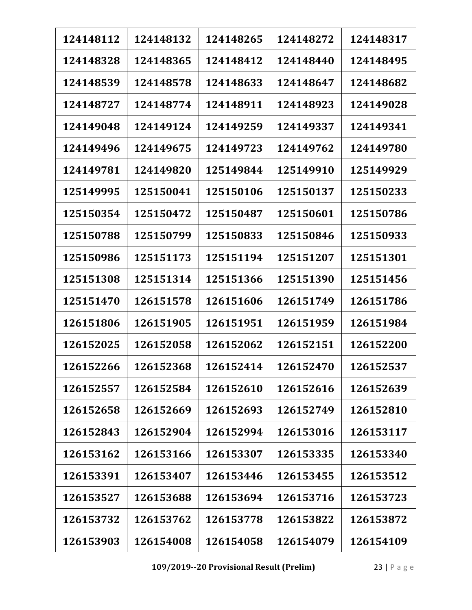| 124148112 | 124148132 | 124148265 | 124148272 | 124148317 |
|-----------|-----------|-----------|-----------|-----------|
| 124148328 | 124148365 | 124148412 | 124148440 | 124148495 |
| 124148539 | 124148578 | 124148633 | 124148647 | 124148682 |
| 124148727 | 124148774 | 124148911 | 124148923 | 124149028 |
| 124149048 | 124149124 | 124149259 | 124149337 | 124149341 |
| 124149496 | 124149675 | 124149723 | 124149762 | 124149780 |
| 124149781 | 124149820 | 125149844 | 125149910 | 125149929 |
| 125149995 | 125150041 | 125150106 | 125150137 | 125150233 |
| 125150354 | 125150472 | 125150487 | 125150601 | 125150786 |
| 125150788 | 125150799 | 125150833 | 125150846 | 125150933 |
| 125150986 | 125151173 | 125151194 | 125151207 | 125151301 |
| 125151308 | 125151314 | 125151366 | 125151390 | 125151456 |
| 125151470 | 126151578 | 126151606 | 126151749 | 126151786 |
| 126151806 | 126151905 | 126151951 | 126151959 | 126151984 |
| 126152025 | 126152058 | 126152062 | 126152151 | 126152200 |
| 126152266 | 126152368 | 126152414 | 126152470 | 126152537 |
| 126152557 | 126152584 | 126152610 | 126152616 | 126152639 |
| 126152658 | 126152669 | 126152693 | 126152749 | 126152810 |
| 126152843 | 126152904 | 126152994 | 126153016 | 126153117 |
| 126153162 | 126153166 | 126153307 | 126153335 | 126153340 |
| 126153391 | 126153407 | 126153446 | 126153455 | 126153512 |
| 126153527 | 126153688 | 126153694 | 126153716 | 126153723 |
| 126153732 | 126153762 | 126153778 | 126153822 | 126153872 |
| 126153903 | 126154008 | 126154058 | 126154079 | 126154109 |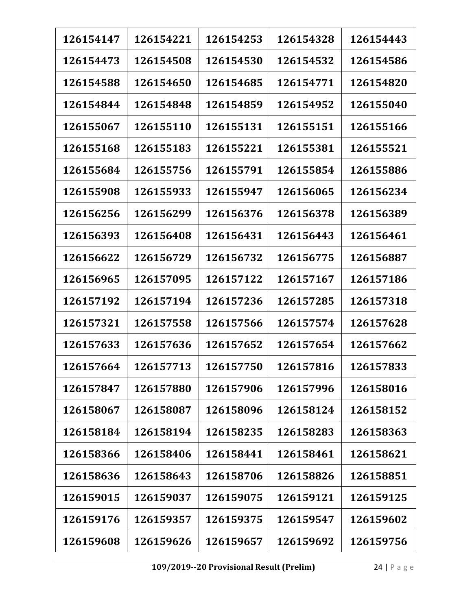| 126154147 | 126154221 | 126154253 | 126154328 | 126154443 |
|-----------|-----------|-----------|-----------|-----------|
| 126154473 | 126154508 | 126154530 | 126154532 | 126154586 |
| 126154588 | 126154650 | 126154685 | 126154771 | 126154820 |
| 126154844 | 126154848 | 126154859 | 126154952 | 126155040 |
| 126155067 | 126155110 | 126155131 | 126155151 | 126155166 |
| 126155168 | 126155183 | 126155221 | 126155381 | 126155521 |
| 126155684 | 126155756 | 126155791 | 126155854 | 126155886 |
| 126155908 | 126155933 | 126155947 | 126156065 | 126156234 |
| 126156256 | 126156299 | 126156376 | 126156378 | 126156389 |
| 126156393 | 126156408 | 126156431 | 126156443 | 126156461 |
| 126156622 | 126156729 | 126156732 | 126156775 | 126156887 |
| 126156965 | 126157095 | 126157122 | 126157167 | 126157186 |
| 126157192 | 126157194 | 126157236 | 126157285 | 126157318 |
| 126157321 | 126157558 | 126157566 | 126157574 | 126157628 |
| 126157633 | 126157636 | 126157652 | 126157654 | 126157662 |
| 126157664 | 126157713 | 126157750 | 126157816 | 126157833 |
| 126157847 | 126157880 | 126157906 | 126157996 | 126158016 |
| 126158067 | 126158087 | 126158096 | 126158124 | 126158152 |
| 126158184 | 126158194 | 126158235 | 126158283 | 126158363 |
| 126158366 | 126158406 | 126158441 | 126158461 | 126158621 |
| 126158636 | 126158643 | 126158706 | 126158826 | 126158851 |
| 126159015 | 126159037 | 126159075 | 126159121 | 126159125 |
| 126159176 | 126159357 | 126159375 | 126159547 | 126159602 |
| 126159608 | 126159626 | 126159657 | 126159692 | 126159756 |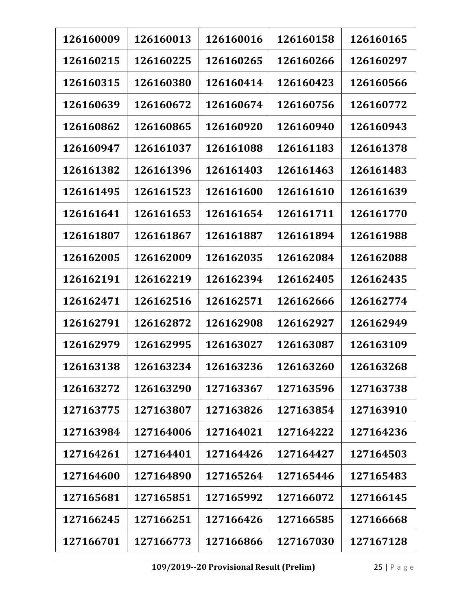| 126160009 | 126160013 | 126160016 | 126160158 | 126160165 |
|-----------|-----------|-----------|-----------|-----------|
| 126160215 | 126160225 | 126160265 | 126160266 | 126160297 |
| 126160315 | 126160380 | 126160414 | 126160423 | 126160566 |
| 126160639 | 126160672 | 126160674 | 126160756 | 126160772 |
| 126160862 | 126160865 | 126160920 | 126160940 | 126160943 |
| 126160947 | 126161037 | 126161088 | 126161183 | 126161378 |
| 126161382 | 126161396 | 126161403 | 126161463 | 126161483 |
| 126161495 | 126161523 | 126161600 | 126161610 | 126161639 |
| 126161641 | 126161653 | 126161654 | 126161711 | 126161770 |
| 126161807 | 126161867 | 126161887 | 126161894 | 126161988 |
| 126162005 | 126162009 | 126162035 | 126162084 | 126162088 |
| 126162191 | 126162219 | 126162394 | 126162405 | 126162435 |
| 126162471 | 126162516 | 126162571 | 126162666 | 126162774 |
| 126162791 | 126162872 | 126162908 | 126162927 | 126162949 |
| 126162979 | 126162995 | 126163027 | 126163087 | 126163109 |
| 126163138 | 126163234 | 126163236 | 126163260 | 126163268 |
| 126163272 | 126163290 | 127163367 | 127163596 | 127163738 |
| 127163775 | 127163807 | 127163826 | 127163854 | 127163910 |
| 127163984 | 127164006 | 127164021 | 127164222 | 127164236 |
| 127164261 | 127164401 | 127164426 | 127164427 | 127164503 |
| 127164600 | 127164890 | 127165264 | 127165446 | 127165483 |
| 127165681 | 127165851 | 127165992 | 127166072 | 127166145 |
| 127166245 | 127166251 | 127166426 | 127166585 | 127166668 |
| 127166701 | 127166773 | 127166866 | 127167030 | 127167128 |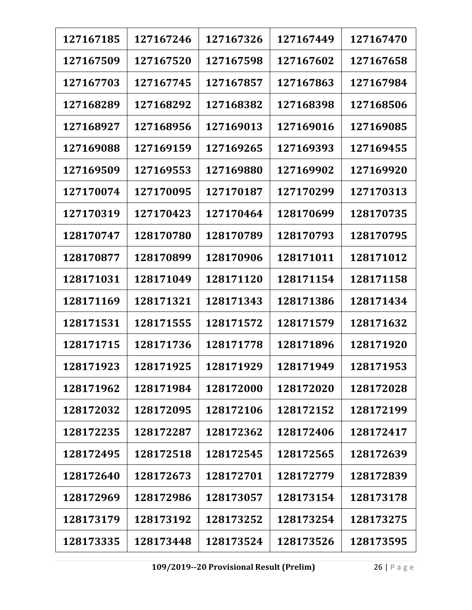| 127167185 | 127167246 | 127167326 | 127167449 | 127167470 |
|-----------|-----------|-----------|-----------|-----------|
| 127167509 | 127167520 | 127167598 | 127167602 | 127167658 |
| 127167703 | 127167745 | 127167857 | 127167863 | 127167984 |
| 127168289 | 127168292 | 127168382 | 127168398 | 127168506 |
| 127168927 | 127168956 | 127169013 | 127169016 | 127169085 |
| 127169088 | 127169159 | 127169265 | 127169393 | 127169455 |
| 127169509 | 127169553 | 127169880 | 127169902 | 127169920 |
| 127170074 | 127170095 | 127170187 | 127170299 | 127170313 |
| 127170319 | 127170423 | 127170464 | 128170699 | 128170735 |
| 128170747 | 128170780 | 128170789 | 128170793 | 128170795 |
| 128170877 | 128170899 | 128170906 | 128171011 | 128171012 |
| 128171031 | 128171049 | 128171120 | 128171154 | 128171158 |
| 128171169 | 128171321 | 128171343 | 128171386 | 128171434 |
| 128171531 | 128171555 | 128171572 | 128171579 | 128171632 |
| 128171715 | 128171736 | 128171778 | 128171896 | 128171920 |
| 128171923 | 128171925 | 128171929 | 128171949 | 128171953 |
| 128171962 | 128171984 | 128172000 | 128172020 | 128172028 |
| 128172032 | 128172095 | 128172106 | 128172152 | 128172199 |
| 128172235 | 128172287 | 128172362 | 128172406 | 128172417 |
| 128172495 | 128172518 | 128172545 | 128172565 | 128172639 |
| 128172640 | 128172673 | 128172701 | 128172779 | 128172839 |
| 128172969 | 128172986 | 128173057 | 128173154 | 128173178 |
| 128173179 | 128173192 | 128173252 | 128173254 | 128173275 |
| 128173335 | 128173448 | 128173524 | 128173526 | 128173595 |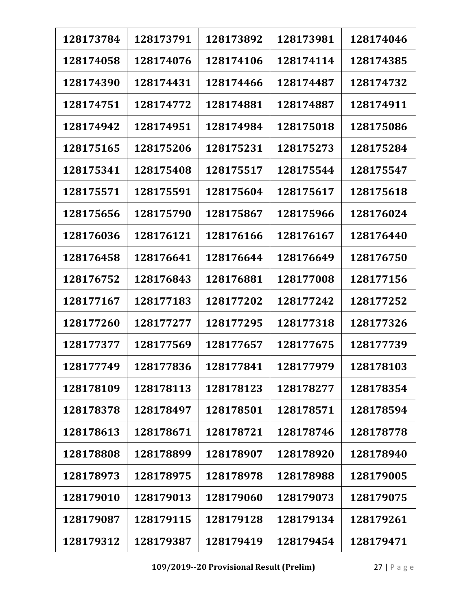| 128173784 | 128173791 | 128173892 | 128173981 | 128174046 |
|-----------|-----------|-----------|-----------|-----------|
| 128174058 | 128174076 | 128174106 | 128174114 | 128174385 |
| 128174390 | 128174431 | 128174466 | 128174487 | 128174732 |
| 128174751 | 128174772 | 128174881 | 128174887 | 128174911 |
| 128174942 | 128174951 | 128174984 | 128175018 | 128175086 |
| 128175165 | 128175206 | 128175231 | 128175273 | 128175284 |
| 128175341 | 128175408 | 128175517 | 128175544 | 128175547 |
| 128175571 | 128175591 | 128175604 | 128175617 | 128175618 |
| 128175656 | 128175790 | 128175867 | 128175966 | 128176024 |
| 128176036 | 128176121 | 128176166 | 128176167 | 128176440 |
| 128176458 | 128176641 | 128176644 | 128176649 | 128176750 |
| 128176752 | 128176843 | 128176881 | 128177008 | 128177156 |
| 128177167 | 128177183 | 128177202 | 128177242 | 128177252 |
| 128177260 | 128177277 | 128177295 | 128177318 | 128177326 |
| 128177377 | 128177569 | 128177657 | 128177675 | 128177739 |
| 128177749 | 128177836 | 128177841 | 128177979 | 128178103 |
| 128178109 | 128178113 | 128178123 | 128178277 | 128178354 |
| 128178378 | 128178497 | 128178501 | 128178571 | 128178594 |
| 128178613 | 128178671 | 128178721 | 128178746 | 128178778 |
| 128178808 | 128178899 | 128178907 | 128178920 | 128178940 |
| 128178973 | 128178975 | 128178978 | 128178988 | 128179005 |
| 128179010 | 128179013 | 128179060 | 128179073 | 128179075 |
| 128179087 | 128179115 | 128179128 | 128179134 | 128179261 |
| 128179312 | 128179387 | 128179419 | 128179454 | 128179471 |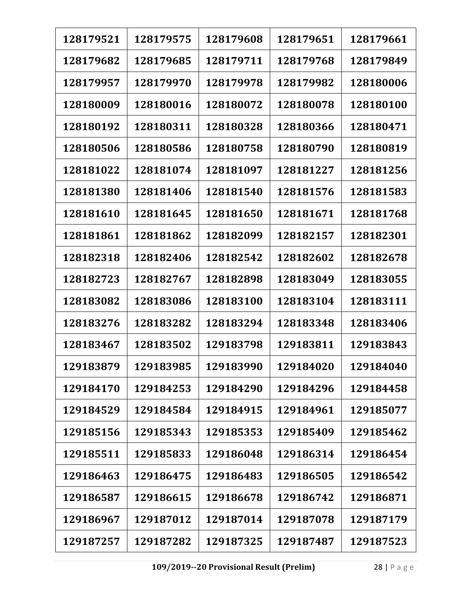| 128179521 | 128179575 | 128179608 | 128179651 | 128179661 |
|-----------|-----------|-----------|-----------|-----------|
| 128179682 | 128179685 | 128179711 | 128179768 | 128179849 |
| 128179957 | 128179970 | 128179978 | 128179982 | 128180006 |
| 128180009 | 128180016 | 128180072 | 128180078 | 128180100 |
| 128180192 | 128180311 | 128180328 | 128180366 | 128180471 |
| 128180506 | 128180586 | 128180758 | 128180790 | 128180819 |
| 128181022 | 128181074 | 128181097 | 128181227 | 128181256 |
| 128181380 | 128181406 | 128181540 | 128181576 | 128181583 |
| 128181610 | 128181645 | 128181650 | 128181671 | 128181768 |
| 128181861 | 128181862 | 128182099 | 128182157 | 128182301 |
| 128182318 | 128182406 | 128182542 | 128182602 | 128182678 |
| 128182723 | 128182767 | 128182898 | 128183049 | 128183055 |
| 128183082 | 128183086 | 128183100 | 128183104 | 128183111 |
| 128183276 | 128183282 | 128183294 | 128183348 | 128183406 |
| 128183467 | 128183502 | 129183798 | 129183811 | 129183843 |
| 129183879 | 129183985 | 129183990 | 129184020 | 129184040 |
| 129184170 | 129184253 | 129184290 | 129184296 | 129184458 |
| 129184529 | 129184584 | 129184915 | 129184961 | 129185077 |
| 129185156 | 129185343 | 129185353 | 129185409 | 129185462 |
| 129185511 | 129185833 | 129186048 | 129186314 | 129186454 |
| 129186463 | 129186475 | 129186483 | 129186505 | 129186542 |
| 129186587 | 129186615 | 129186678 | 129186742 | 129186871 |
| 129186967 | 129187012 | 129187014 | 129187078 | 129187179 |
| 129187257 | 129187282 | 129187325 | 129187487 | 129187523 |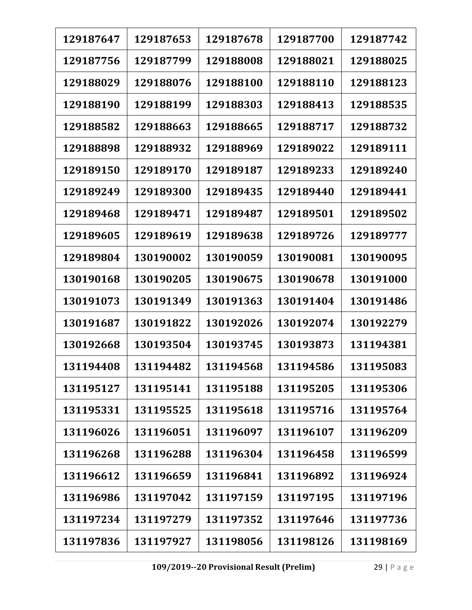| 129187647 | 129187653 | 129187678 | 129187700 | 129187742 |
|-----------|-----------|-----------|-----------|-----------|
| 129187756 | 129187799 | 129188008 | 129188021 | 129188025 |
| 129188029 | 129188076 | 129188100 | 129188110 | 129188123 |
| 129188190 | 129188199 | 129188303 | 129188413 | 129188535 |
| 129188582 | 129188663 | 129188665 | 129188717 | 129188732 |
| 129188898 | 129188932 | 129188969 | 129189022 | 129189111 |
| 129189150 | 129189170 | 129189187 | 129189233 | 129189240 |
| 129189249 | 129189300 | 129189435 | 129189440 | 129189441 |
| 129189468 | 129189471 | 129189487 | 129189501 | 129189502 |
| 129189605 | 129189619 | 129189638 | 129189726 | 129189777 |
| 129189804 | 130190002 | 130190059 | 130190081 | 130190095 |
| 130190168 | 130190205 | 130190675 | 130190678 | 130191000 |
| 130191073 | 130191349 | 130191363 | 130191404 | 130191486 |
| 130191687 | 130191822 | 130192026 | 130192074 | 130192279 |
| 130192668 | 130193504 | 130193745 | 130193873 | 131194381 |
| 131194408 | 131194482 | 131194568 | 131194586 | 131195083 |
| 131195127 | 131195141 | 131195188 | 131195205 | 131195306 |
| 131195331 | 131195525 | 131195618 | 131195716 | 131195764 |
| 131196026 | 131196051 | 131196097 | 131196107 | 131196209 |
| 131196268 | 131196288 | 131196304 | 131196458 | 131196599 |
| 131196612 | 131196659 | 131196841 | 131196892 | 131196924 |
| 131196986 | 131197042 | 131197159 | 131197195 | 131197196 |
| 131197234 | 131197279 | 131197352 | 131197646 | 131197736 |
| 131197836 | 131197927 | 131198056 | 131198126 | 131198169 |